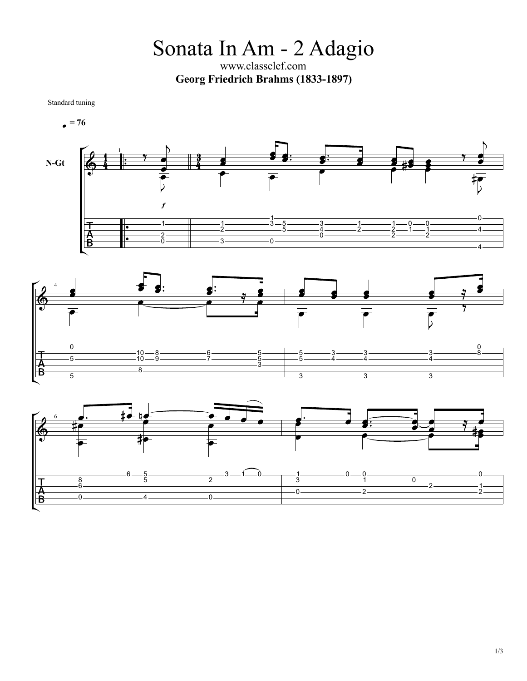Sonata In Am - 2 Adagio

www.classclef.com **Georg Friedrich Brahms (1833-1897)**

Standard tuning

 $= 76$ 





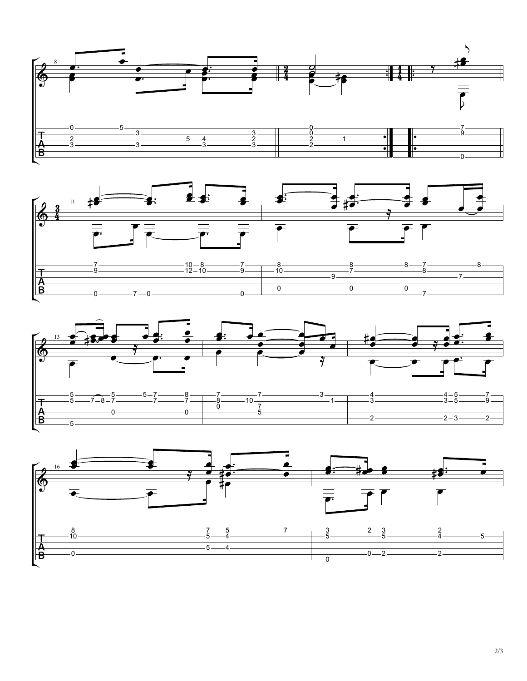